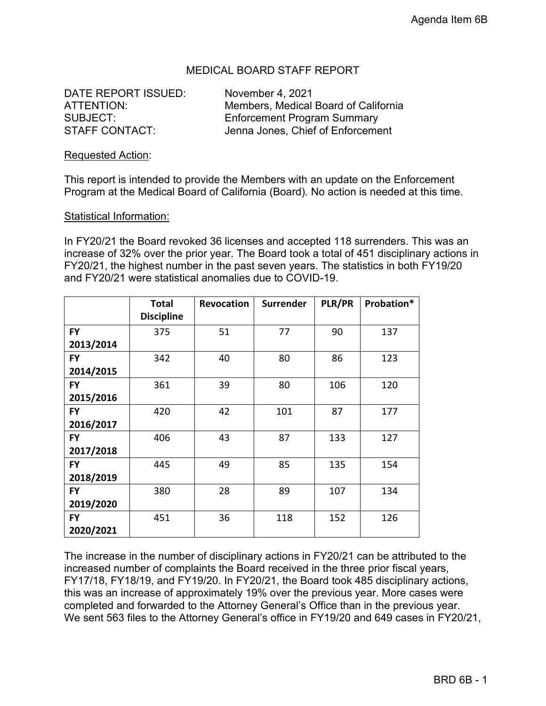### MEDICAL BOARD STAFF REPORT

DATE REPORT ISSUED: November 4, 2021

ATTENTION: Members, Medical Board of California SUBJECT: Enforcement Program Summary STAFF CONTACT: Jenna Jones, Chief of Enforcement

#### Requested Action:

This report is intended to provide the Members with an update on the Enforcement Program at the Medical Board of California (Board). No action is needed at this time.

#### Statistical Information:

In FY20/21 the Board revoked 36 licenses and accepted 118 surrenders. This was an increase of 32% over the prior year. The Board took a total of 451 disciplinary actions in FY20/21, the highest number in the past seven years. The statistics in both FY19/20 and FY20/21 were statistical anomalies due to COVID-19.

|           | <b>Total</b>      | <b>Revocation</b> | <b>Surrender</b> | PLR/PR | Probation* |
|-----------|-------------------|-------------------|------------------|--------|------------|
|           | <b>Discipline</b> |                   |                  |        |            |
| <b>FY</b> | 375               | 51                | 77               | 90     | 137        |
| 2013/2014 |                   |                   |                  |        |            |
| <b>FY</b> | 342               | 40                | 80               | 86     | 123        |
| 2014/2015 |                   |                   |                  |        |            |
| <b>FY</b> | 361               | 39                | 80               | 106    | 120        |
| 2015/2016 |                   |                   |                  |        |            |
| <b>FY</b> | 420               | 42                | 101              | 87     | 177        |
| 2016/2017 |                   |                   |                  |        |            |
| <b>FY</b> | 406               | 43                | 87               | 133    | 127        |
| 2017/2018 |                   |                   |                  |        |            |
| <b>FY</b> | 445               | 49                | 85               | 135    | 154        |
| 2018/2019 |                   |                   |                  |        |            |
| <b>FY</b> | 380               | 28                | 89               | 107    | 134        |
| 2019/2020 |                   |                   |                  |        |            |
| <b>FY</b> | 451               | 36                | 118              | 152    | 126        |
| 2020/2021 |                   |                   |                  |        |            |

The increase in the number of disciplinary actions in FY20/21 can be attributed to the increased number of complaints the Board received in the three prior fiscal years, FY17/18, FY18/19, and FY19/20. In FY20/21, the Board took 485 disciplinary actions, this was an increase of approximately 19% over the previous year. More cases were completed and forwarded to the Attorney General's Office than in the previous year. We sent 563 files to the Attorney General's office in FY19/20 and 649 cases in FY20/21,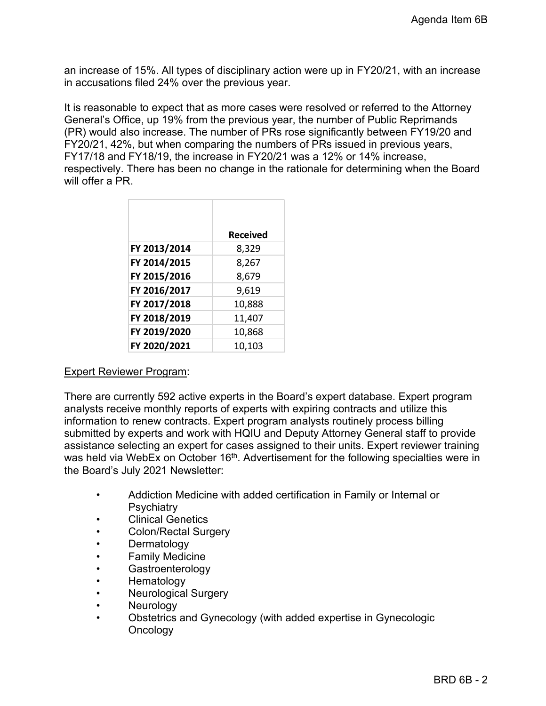an increase of 15%. All types of disciplinary action were up in FY20/21, with an increase in accusations filed 24% over the previous year.

It is reasonable to expect that as more cases were resolved or referred to the Attorney General's Office, up 19% from the previous year, the number of Public Reprimands (PR) would also increase. The number of PRs rose significantly between FY19/20 and FY20/21, 42%, but when comparing the numbers of PRs issued in previous years, FY17/18 and FY18/19, the increase in FY20/21 was a 12% or 14% increase, respectively. There has been no change in the rationale for determining when the Board will offer a PR.

|              | <b>Received</b> |
|--------------|-----------------|
| FY 2013/2014 | 8,329           |
| FY 2014/2015 | 8,267           |
| FY 2015/2016 | 8,679           |
| FY 2016/2017 | 9,619           |
| FY 2017/2018 | 10,888          |
| FY 2018/2019 | 11,407          |
| FY 2019/2020 | 10,868          |
| FY 2020/2021 | 10,103          |

### Expert Reviewer Program:

There are currently 592 active experts in the Board's expert database. Expert program analysts receive monthly reports of experts with expiring contracts and utilize this information to renew contracts. Expert program analysts routinely process billing submitted by experts and work with HQIU and Deputy Attorney General staff to provide assistance selecting an expert for cases assigned to their units. Expert reviewer training was held via WebEx on October 16<sup>th</sup>. Advertisement for the following specialties were in the Board's July 2021 Newsletter:

- Addiction Medicine with added certification in Family or Internal or **Psychiatry**
- Clinical Genetics
- Colon/Rectal Surgery
- **Dermatology**
- **Family Medicine**
- **Gastroenterology**
- Hematology
- Neurological Surgery
- **Neurology**
- Obstetrics and Gynecology (with added expertise in Gynecologic **Oncology**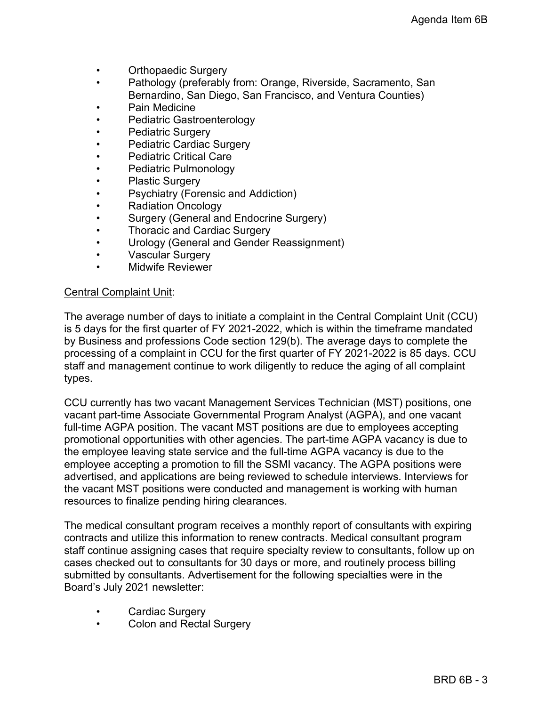- Orthopaedic Surgery
- Pathology (preferably from: Orange, Riverside, Sacramento, San Bernardino, San Diego, San Francisco, and Ventura Counties)
- Pain Medicine
- Pediatric Gastroenterology
- Pediatric Surgery
- Pediatric Cardiac Surgery
- Pediatric Critical Care
- Pediatric Pulmonology
- Plastic Surgery
- Psychiatry (Forensic and Addiction)
- Radiation Oncology
- Surgery (General and Endocrine Surgery)
- Thoracic and Cardiac Surgery
- Urology (General and Gender Reassignment)
- Vascular Surgery
- Midwife Reviewer

### Central Complaint Unit:

The average number of days to initiate a complaint in the Central Complaint Unit (CCU) is 5 days for the first quarter of FY 2021-2022, which is within the timeframe mandated by Business and professions Code section 129(b). The average days to complete the processing of a complaint in CCU for the first quarter of FY 2021-2022 is 85 days. CCU staff and management continue to work diligently to reduce the aging of all complaint types.

CCU currently has two vacant Management Services Technician (MST) positions, one vacant part-time Associate Governmental Program Analyst (AGPA), and one vacant full-time AGPA position. The vacant MST positions are due to employees accepting promotional opportunities with other agencies. The part-time AGPA vacancy is due to the employee leaving state service and the full-time AGPA vacancy is due to the employee accepting a promotion to fill the SSMI vacancy. The AGPA positions were advertised, and applications are being reviewed to schedule interviews. Interviews for the vacant MST positions were conducted and management is working with human resources to finalize pending hiring clearances.

The medical consultant program receives a monthly report of consultants with expiring contracts and utilize this information to renew contracts. Medical consultant program staff continue assigning cases that require specialty review to consultants, follow up on cases checked out to consultants for 30 days or more, and routinely process billing submitted by consultants. Advertisement for the following specialties were in the Board's July 2021 newsletter:

- Cardiac Surgery
- Colon and Rectal Surgery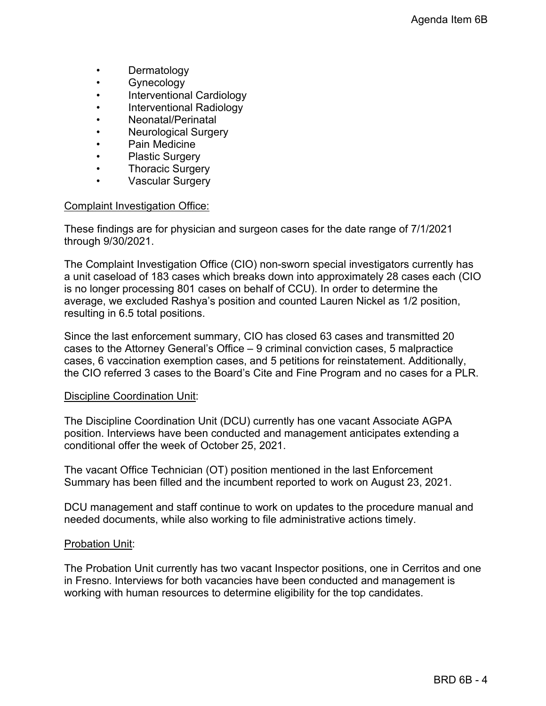- **Dermatology**
- Gynecology
- Interventional Cardiology
- Interventional Radiology
- Neonatal/Perinatal
- Neurological Surgery
- Pain Medicine
- Plastic Surgery
- Thoracic Surgery
- Vascular Surgery

#### Complaint Investigation Office:

These findings are for physician and surgeon cases for the date range of 7/1/2021 through 9/30/2021.

The Complaint Investigation Office (CIO) non-sworn special investigators currently has a unit caseload of 183 cases which breaks down into approximately 28 cases each (CIO is no longer processing 801 cases on behalf of CCU). In order to determine the average, we excluded Rashya's position and counted Lauren Nickel as 1/2 position, resulting in 6.5 total positions.

Since the last enforcement summary, CIO has closed 63 cases and transmitted 20 cases to the Attorney General's Office – 9 criminal conviction cases, 5 malpractice cases, 6 vaccination exemption cases, and 5 petitions for reinstatement. Additionally, the CIO referred 3 cases to the Board's Cite and Fine Program and no cases for a PLR.

### Discipline Coordination Unit:

The Discipline Coordination Unit (DCU) currently has one vacant Associate AGPA position. Interviews have been conducted and management anticipates extending a conditional offer the week of October 25, 2021.

The vacant Office Technician (OT) position mentioned in the last Enforcement Summary has been filled and the incumbent reported to work on August 23, 2021.

DCU management and staff continue to work on updates to the procedure manual and needed documents, while also working to file administrative actions timely.

### **Probation Unit:**

The Probation Unit currently has two vacant Inspector positions, one in Cerritos and one in Fresno. Interviews for both vacancies have been conducted and management is working with human resources to determine eligibility for the top candidates.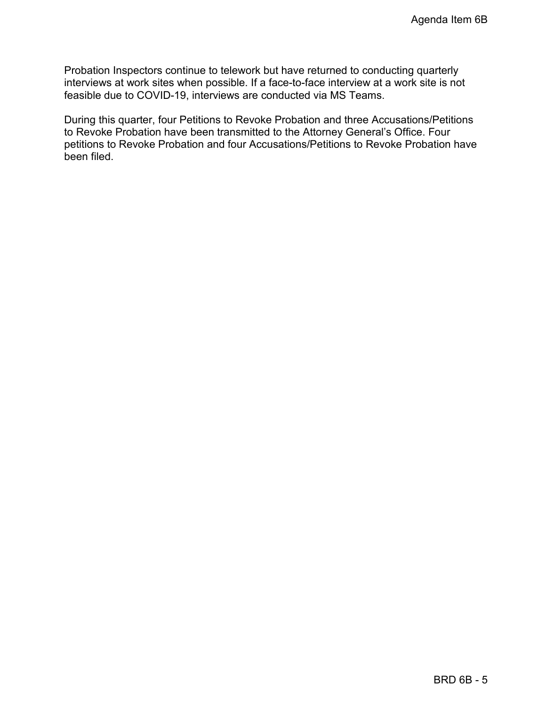Probation Inspectors continue to telework but have returned to conducting quarterly interviews at work sites when possible. If a face-to-face interview at a work site is not feasible due to COVID-19, interviews are conducted via MS Teams.

During this quarter, four Petitions to Revoke Probation and three Accusations/Petitions to Revoke Probation have been transmitted to the Attorney General's Office. Four petitions to Revoke Probation and four Accusations/Petitions to Revoke Probation have been filed.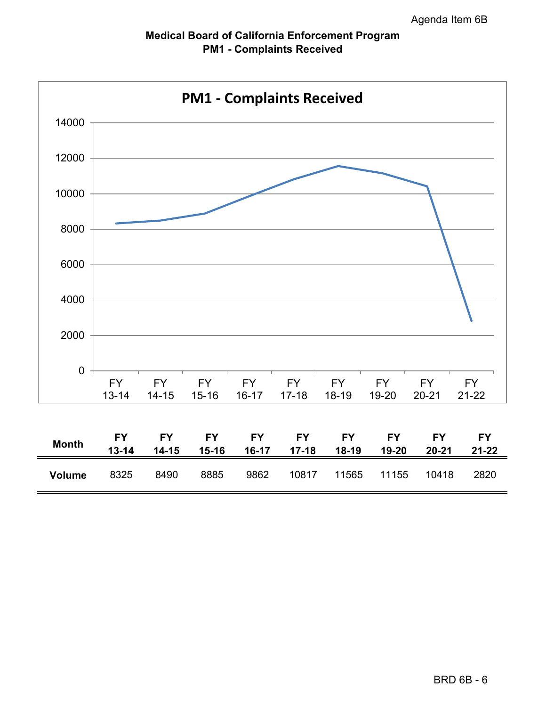

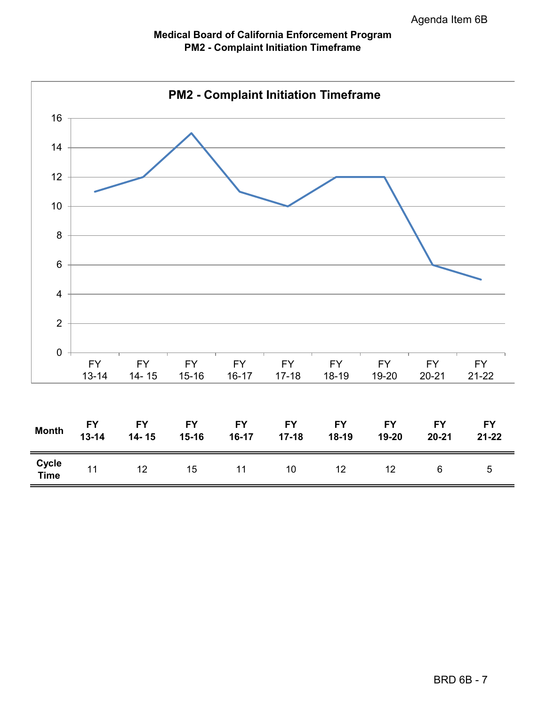### **Medical Board of California Enforcement Program PM2 - Complaint Initiation Timeframe**

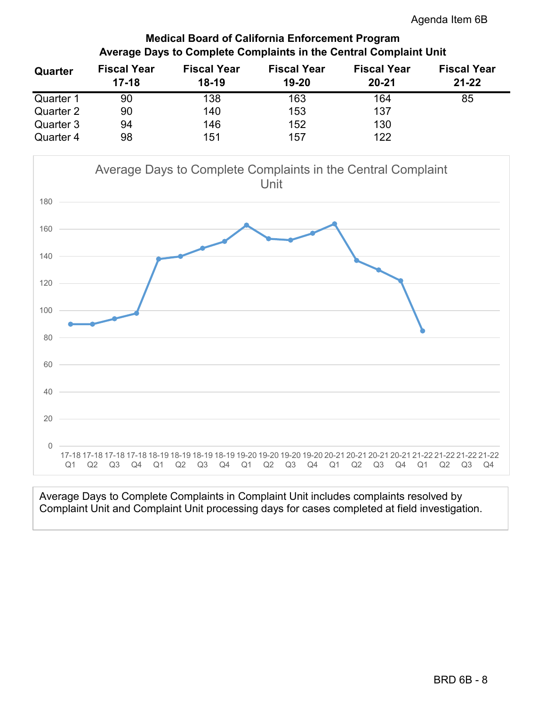### **Medical Board of California Enforcement Program Average Days to Complete Complaints in the Central Complaint Unit**

| Quarter   | <b>Fiscal Year</b><br>$17 - 18$ | <b>Fiscal Year</b><br>$18 - 19$ | <b>Fiscal Year</b><br>19-20 | <b>Fiscal Year</b><br>$20 - 21$ | <b>Fiscal Year</b><br>$21 - 22$ |
|-----------|---------------------------------|---------------------------------|-----------------------------|---------------------------------|---------------------------------|
| Quarter 1 | 90                              | 138                             | 163                         | 164                             | 85                              |
| Quarter 2 | 90                              | 140                             | 153                         | 137                             |                                 |
| Quarter 3 | 94                              | 146                             | 152                         | 130                             |                                 |
| Quarter 4 | 98                              | 151                             | 157                         | 122                             |                                 |



Average Days to Complete Complaints in Complaint Unit includes complaints resolved by Complaint Unit and Complaint Unit processing days for cases completed at field investigation.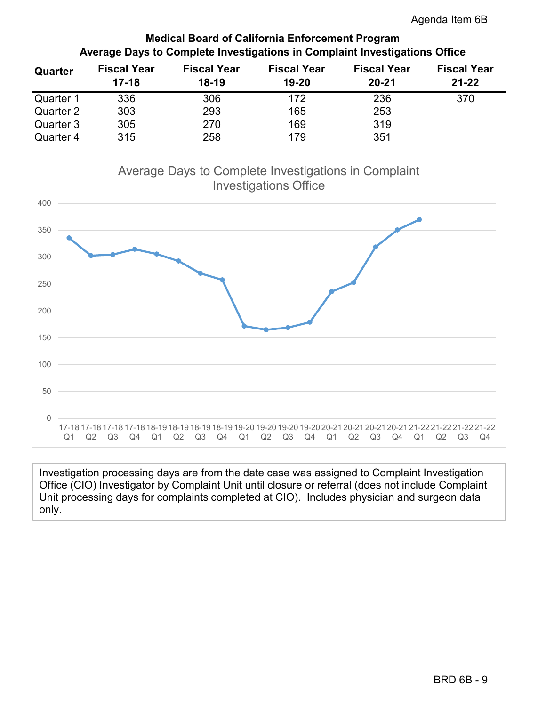### **Medical Board of California Enforcement Program Average Days to Complete Investigations in Complaint Investigations Office**

| Quarter   | <b>Fiscal Year</b><br>$17-18$ | <b>Fiscal Year</b><br>$18-19$ | <b>Fiscal Year</b><br>19-20 | <b>Fiscal Year</b><br>$20 - 21$ | <b>Fiscal Year</b><br>$21 - 22$ |
|-----------|-------------------------------|-------------------------------|-----------------------------|---------------------------------|---------------------------------|
| Quarter 1 | 336                           | 306                           | 172                         | 236                             | 370                             |
| Quarter 2 | 303                           | 293                           | 165                         | 253                             |                                 |
| Quarter 3 | 305                           | 270                           | 169                         | 319                             |                                 |
| Quarter 4 | 315                           | 258                           | 179                         | 351                             |                                 |



Investigation processing days are from the date case was assigned to Complaint Investigation Office (CIO) Investigator by Complaint Unit until closure or referral (does not include Complaint Unit processing days for complaints completed at CIO). Includes physician and surgeon data only.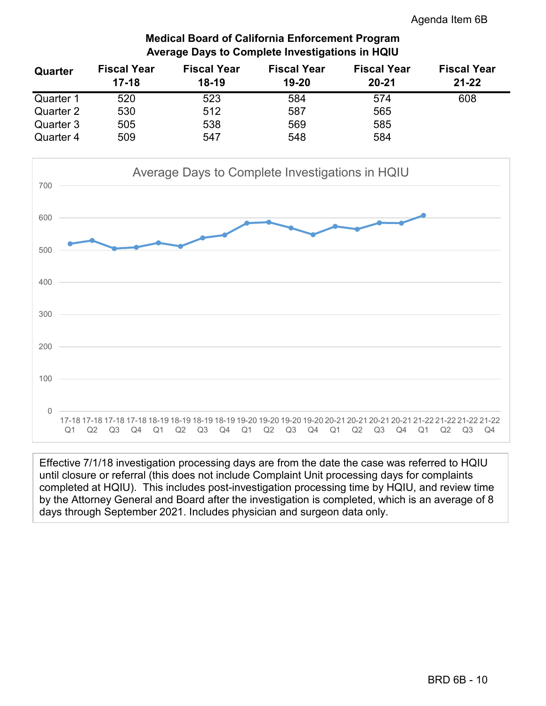### **Medical Board of California Enforcement Program Average Days to Complete Investigations in HQIU**

| Quarter   | <b>Fiscal Year</b><br>$17 - 18$ | <b>Fiscal Year</b><br>$18 - 19$ | <b>Fiscal Year</b><br>19-20 | <b>Fiscal Year</b><br>$20 - 21$ | <b>Fiscal Year</b><br>$21 - 22$ |
|-----------|---------------------------------|---------------------------------|-----------------------------|---------------------------------|---------------------------------|
| Quarter 1 | 520                             | 523                             | 584                         | 574                             | 608                             |
| Quarter 2 | 530                             | 512                             | 587                         | 565                             |                                 |
| Quarter 3 | 505                             | 538                             | 569                         | 585                             |                                 |
| Quarter 4 | 509                             | 547                             | 548                         | 584                             |                                 |



Effective 7/1/18 investigation processing days are from the date the case was referred to HQIU until closure or referral (this does not include Complaint Unit processing days for complaints completed at HQIU). This includes post-investigation processing time by HQIU, and review time by the Attorney General and Board after the investigation is completed, which is an average of 8 days through September 2021. Includes physician and surgeon data only.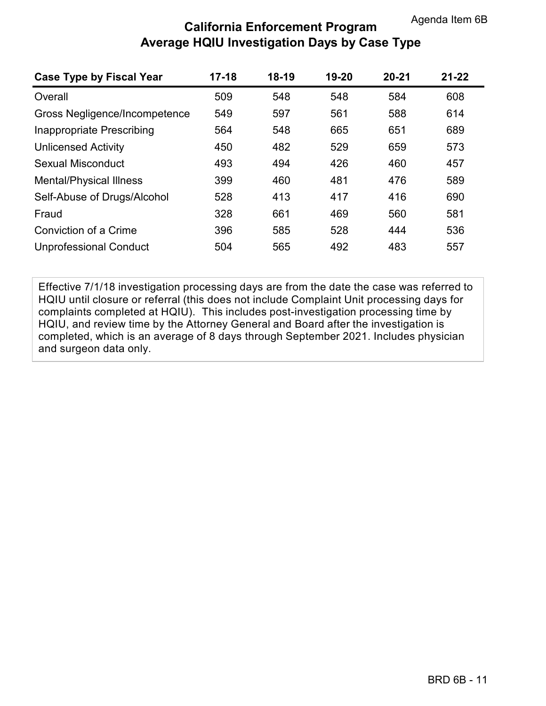## **California Enforcement Program Average HQIU Investigation Days by Case Type**

| <b>Case Type by Fiscal Year</b> | $17 - 18$ | $18 - 19$ | 19-20 | $20 - 21$ | $21 - 22$ |
|---------------------------------|-----------|-----------|-------|-----------|-----------|
| Overall                         | 509       | 548       | 548   | 584       | 608       |
| Gross Negligence/Incompetence   | 549       | 597       | 561   | 588       | 614       |
| Inappropriate Prescribing       | 564       | 548       | 665   | 651       | 689       |
| <b>Unlicensed Activity</b>      | 450       | 482       | 529   | 659       | 573       |
| Sexual Misconduct               | 493       | 494       | 426   | 460       | 457       |
| <b>Mental/Physical Illness</b>  | 399       | 460       | 481   | 476       | 589       |
| Self-Abuse of Drugs/Alcohol     | 528       | 413       | 417   | 416       | 690       |
| Fraud                           | 328       | 661       | 469   | 560       | 581       |
| Conviction of a Crime           | 396       | 585       | 528   | 444       | 536       |
| <b>Unprofessional Conduct</b>   | 504       | 565       | 492   | 483       | 557       |

Effective 7/1/18 investigation processing days are from the date the case was referred to HQIU until closure or referral (this does not include Complaint Unit processing days for complaints completed at HQIU). This includes post-investigation processing time by HQIU, and review time by the Attorney General and Board after the investigation is completed, which is an average of 8 days through September 2021. Includes physician and surgeon data only.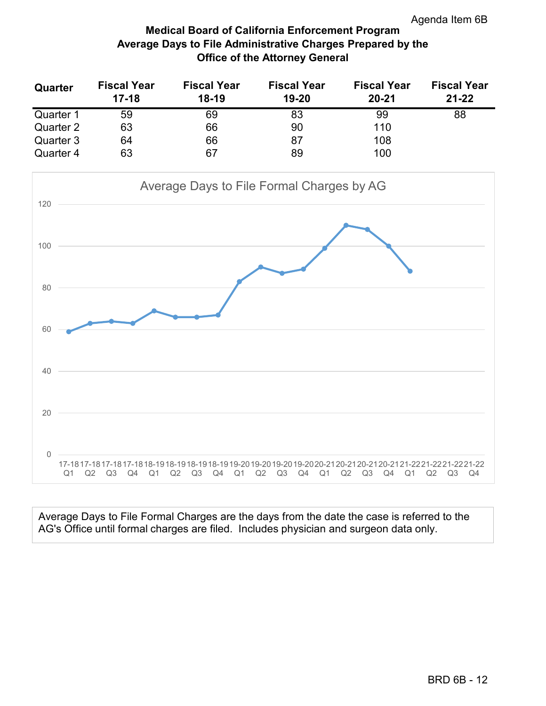### **Medical Board of California Enforcement Program Average Days to File Administrative Charges Prepared by the Office of the Attorney General**

| Quarter   | <b>Fiscal Year</b><br>$17-18$ | <b>Fiscal Year</b><br>$18-19$ | <b>Fiscal Year</b><br>19-20 | <b>Fiscal Year</b><br>$20 - 21$ | <b>Fiscal Year</b><br>$21 - 22$ |
|-----------|-------------------------------|-------------------------------|-----------------------------|---------------------------------|---------------------------------|
| Quarter 1 | 59                            | 69                            | 83                          | 99                              | 88                              |
| Quarter 2 | 63                            | 66                            | 90                          | 110                             |                                 |
| Quarter 3 | 64                            | 66                            | 87                          | 108                             |                                 |
| Quarter 4 | 63                            | 67                            | 89                          | 100                             |                                 |



Average Days to File Formal Charges are the days from the date the case is referred to the AG's Office until formal charges are filed. Includes physician and surgeon data only.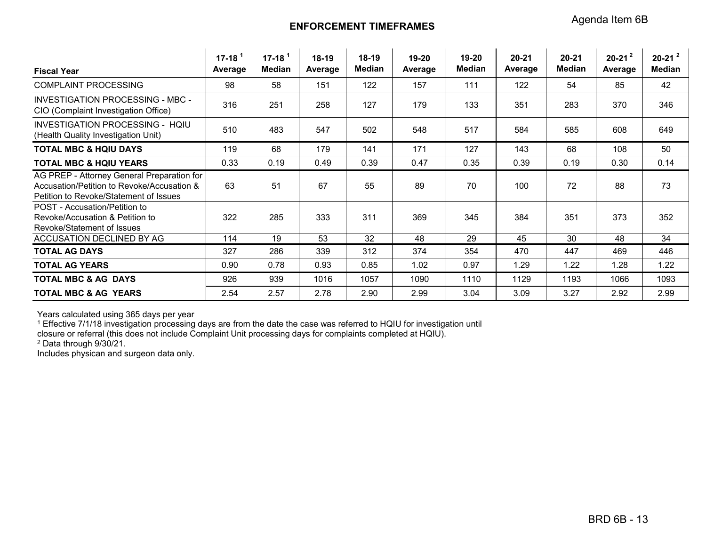### **ENFORCEMENT TIMEFRAMES**

| <b>Fiscal Year</b>                                                                                                                 | $17 - 18$ <sup>1</sup><br>Average | $17 - 181$<br>Median | $18-19$<br>Average | 18-19<br>Median | 19-20<br>Average | 19-20<br><b>Median</b> | 20-21<br>Average | $20 - 21$<br><b>Median</b> | $20-21^2$<br>Average | $20-21^2$<br>Median |
|------------------------------------------------------------------------------------------------------------------------------------|-----------------------------------|----------------------|--------------------|-----------------|------------------|------------------------|------------------|----------------------------|----------------------|---------------------|
| <b>COMPLAINT PROCESSING</b>                                                                                                        | 98                                | 58                   | 151                | 122             | 157              | 111                    | 122              | 54                         | 85                   | 42                  |
| INVESTIGATION PROCESSING - MBC -<br>CIO (Complaint Investigation Office)                                                           | 316                               | 251                  | 258                | 127             | 179              | 133                    | 351              | 283                        | 370                  | 346                 |
| INVESTIGATION PROCESSING - HOIU<br>(Health Quality Investigation Unit)                                                             | 510                               | 483                  | 547                | 502             | 548              | 517                    | 584              | 585                        | 608                  | 649                 |
| <b>TOTAL MBC &amp; HOIU DAYS</b>                                                                                                   | 119                               | 68                   | 179                | 141             | 171              | 127                    | 143              | 68                         | 108                  | 50                  |
| <b>TOTAL MBC &amp; HQIU YEARS</b>                                                                                                  | 0.33                              | 0.19                 | 0.49               | 0.39            | 0.47             | 0.35                   | 0.39             | 0.19                       | 0.30                 | 0.14                |
| AG PREP - Attorney General Preparation for<br>Accusation/Petition to Revoke/Accusation &<br>Petition to Revoke/Statement of Issues | 63                                | 51                   | 67                 | 55              | 89               | 70                     | 100              | 72                         | 88                   | 73                  |
| POST - Accusation/Petition to<br>Revoke/Accusation & Petition to<br>Revoke/Statement of Issues                                     | 322                               | 285                  | 333                | 311             | 369              | 345                    | 384              | 351                        | 373                  | 352                 |
| ACCUSATION DECLINED BY AG                                                                                                          | 114                               | 19                   | 53                 | 32              | 48               | 29                     | 45               | 30                         | 48                   | 34                  |
| <b>TOTAL AG DAYS</b>                                                                                                               | 327                               | 286                  | 339                | 312             | 374              | 354                    | 470              | 447                        | 469                  | 446                 |
| <b>TOTAL AG YEARS</b>                                                                                                              | 0.90                              | 0.78                 | 0.93               | 0.85            | 1.02             | 0.97                   | 1.29             | 1.22                       | 1.28                 | 1.22                |
| <b>TOTAL MBC &amp; AG DAYS</b>                                                                                                     | 926                               | 939                  | 1016               | 1057            | 1090             | 1110                   | 1129             | 1193                       | 1066                 | 1093                |
| <b>TOTAL MBC &amp; AG YEARS</b>                                                                                                    | 2.54                              | 2.57                 | 2.78               | 2.90            | 2.99             | 3.04                   | 3.09             | 3.27                       | 2.92                 | 2.99                |

Years calculated using 365 days per year

 $1$  Effective 7/1/18 investigation processing days are from the date the case was referred to HQIU for investigation until

closure or referral (this does not include Complaint Unit processing days for complaints completed at HQIU).

<sup>2</sup> Data through 9/30/21.

Includes physican and surgeon data only.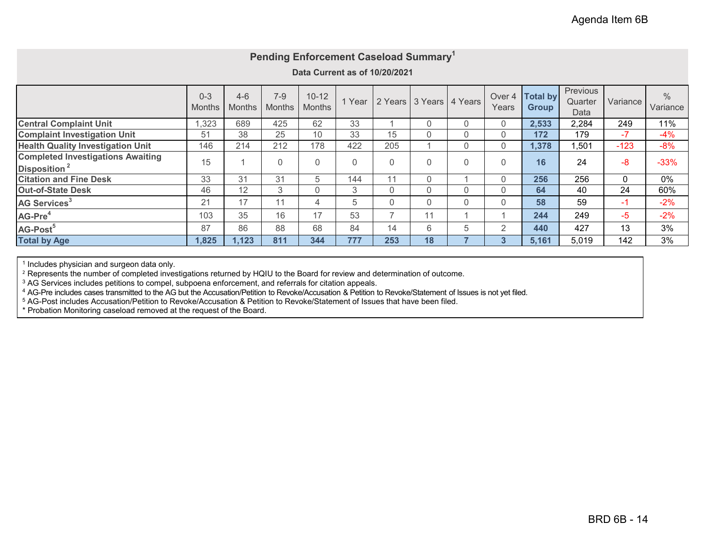|                                                                      |                          |                          |                          | Pending Enforcement Caseload Summary <sup>1</sup><br>Data Current as of 10/20/2021 |      |                |                 |         |                 |                                 |                             |          |                           |
|----------------------------------------------------------------------|--------------------------|--------------------------|--------------------------|------------------------------------------------------------------------------------|------|----------------|-----------------|---------|-----------------|---------------------------------|-----------------------------|----------|---------------------------|
|                                                                      | $0 - 3$<br><b>Months</b> | $4 - 6$<br><b>Months</b> | $7 - 9$<br><b>Months</b> | $10 - 12$<br><b>Months</b>                                                         | Year |                | 2 Years 3 Years | 4 Years | Over 4<br>Years | <b>Total by</b><br><b>Group</b> | Previous<br>Quarter<br>Data | Variance | $\frac{0}{0}$<br>Variance |
| <b>Central Complaint Unit</b>                                        | ,323                     | 689                      | 425                      | 62                                                                                 | 33   |                | 0               | 0       | 0               | 2,533                           | 2,284                       | 249      | 11%                       |
| <b>Complaint Investigation Unit</b>                                  | 51                       | 38                       | 25                       | 10                                                                                 | 33   | 15             | 0               | 0       | 0               | 172                             | 179                         | $-7$     | $-4%$                     |
| <b>Health Quality Investigation Unit</b>                             | 146                      | 214                      | 212                      | 178                                                                                | 422  | 205            |                 | 0       | 0               | 1,378                           | 1,501                       | $-123$   | $-8%$                     |
| <b>Completed Investigations Awaiting</b><br>Disposition <sup>2</sup> | 15                       |                          | $\Omega$                 | $\Omega$                                                                           | 0    | 0              | 0               | 0       | 0               | 16                              | 24                          | $-8$     | $-33%$                    |
| <b>Citation and Fine Desk</b>                                        | 33                       | 31                       | 31                       | 5                                                                                  | 144  | 11             | $\Omega$        |         | 0               | 256                             | 256                         | 0        | 0%                        |
| <b>Out-of-State Desk</b>                                             | 46                       | 12                       | 3                        | $\Omega$                                                                           | 3    | $\Omega$       | 0               | 0       | 0               | 64                              | 40                          | 24       | 60%                       |
| AG Services <sup>3</sup>                                             | 21                       | 17                       | 11                       | 4                                                                                  | 5    | $\Omega$       | $\Omega$        | 0       | 0               | 58                              | 59                          | $-1$     | $-2%$                     |
| AG-Pre <sup>4</sup>                                                  | 103                      | 35                       | 16                       | 17                                                                                 | 53   | $\overline{ }$ | 11              |         |                 | 244                             | 249                         | $-5$     | $-2%$                     |
| AG-Post <sup>5</sup>                                                 | 87                       | 86                       | 88                       | 68                                                                                 | 84   | 14             | 6               | 5       | $\overline{2}$  | 440                             | 427                         | 13       | 3%                        |
| <b>Total by Age</b>                                                  | 1,825                    | 1,123                    | 811                      | 344                                                                                | 777  | 253            | 18              |         | 3               | 5,161                           | 5,019                       | 142      | 3%                        |

<sup>1</sup> Includes physician and surgeon data only.

<sup>2</sup> Represents the number of completed investigations returned by HQIU to the Board for review and determination of outcome.

 $\rm{^{3}}$  AG Services includes petitions to compel, subpoena enforcement, and referrals for citation appeals.

<sup>4</sup> AG-Pre includes cases transmitted to the AG but the Accusation/Petition to Revoke/Accusation & Petition to Revoke/Statement of Issues is not yet filed.

<sup>5</sup> AG-Post includes Accusation/Petition to Revoke/Accusation & Petition to Revoke/Statement of Issues that have been filed.

\* Probation Monitoring caseload removed at the request of the Board.